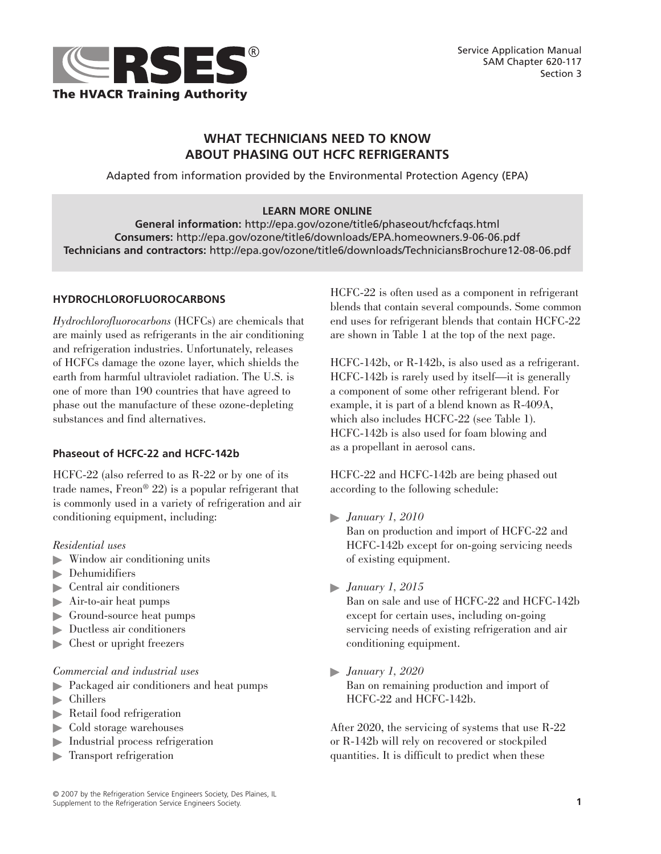

# **WHAT TECHNICIANS NEED TO KNOW ABOUT PHASING OUT HCFC REFRIGERANTS**

Adapted from information provided by the Environmental Protection Agency (EPA)

### **LEARN MORE ONLINE**

**General information:** http://epa.gov/ozone/title6/phaseout/hcfcfaqs.html **Consumers:** http://epa.gov/ozone/title6/downloads/EPA.homeowners.9-06-06.pdf **Technicians and contractors:** http://epa.gov/ozone/title6/downloads/TechniciansBrochure12-08-06.pdf

# **HYDROCHLOROFLUOROCARBONS**

*Hydrochlorofluorocarbons* (HCFCs) are chemicals that are mainly used as refrigerants in the air conditioning and refrigeration industries. Unfortunately, releases of HCFCs damage the ozone layer, which shields the earth from harmful ultraviolet radiation. The U.S. is one of more than 190 countries that have agreed to phase out the manufacture of these ozone-depleting substances and find alternatives.

### **Phaseout of HCFC-22 and HCFC-142b**

HCFC-22 (also referred to as R-22 or by one of its trade names, Freon® 22) is a popular refrigerant that is commonly used in a variety of refrigeration and air conditioning equipment, including:

### *Residential uses*

- $\blacktriangleright$  Window air conditioning units
- $\blacktriangleright$  Dehumidifiers
- þ Central air conditioners
- þ Air-to-air heat pumps
- **•** Ground-source heat pumps
- $\blacktriangleright$  Ductless air conditioners
- $\blacktriangleright$  Chest or upright freezers

#### *Commercial and industrial uses*

- **•** Packaged air conditioners and heat pumps
- $\blacktriangleright$  Chillers
- þ Retail food refrigeration
- $\blacktriangleright$  Cold storage warehouses
- þ Industrial process refrigeration
- **F** Transport refrigeration

HCFC-22 is often used as a component in refrigerant blends that contain several compounds. Some common end uses for refrigerant blends that contain HCFC-22 are shown in Table 1 at the top of the next page.

HCFC-142b, or R-142b, is also used as a refrigerant. HCFC-142b is rarely used by itself—it is generally a component of some other refrigerant blend. For example, it is part of a blend known as R-409A, which also includes HCFC-22 (see Table 1). HCFC-142b is also used for foam blowing and as a propellant in aerosol cans.

HCFC-22 and HCFC-142b are being phased out according to the following schedule:

- þ *January 1, 2010* Ban on production and import of HCFC-22 and HCFC-142b except for on-going servicing needs of existing equipment.
- þ *January 1, 2015*

Ban on sale and use of HCFC-22 and HCFC-142b except for certain uses, including on-going servicing needs of existing refrigeration and air conditioning equipment.

þ *January 1, 2020* Ban on remaining production and import of HCFC-22 and HCFC-142b.

After 2020, the servicing of systems that use R-22 or R-142b will rely on recovered or stockpiled quantities. It is difficult to predict when these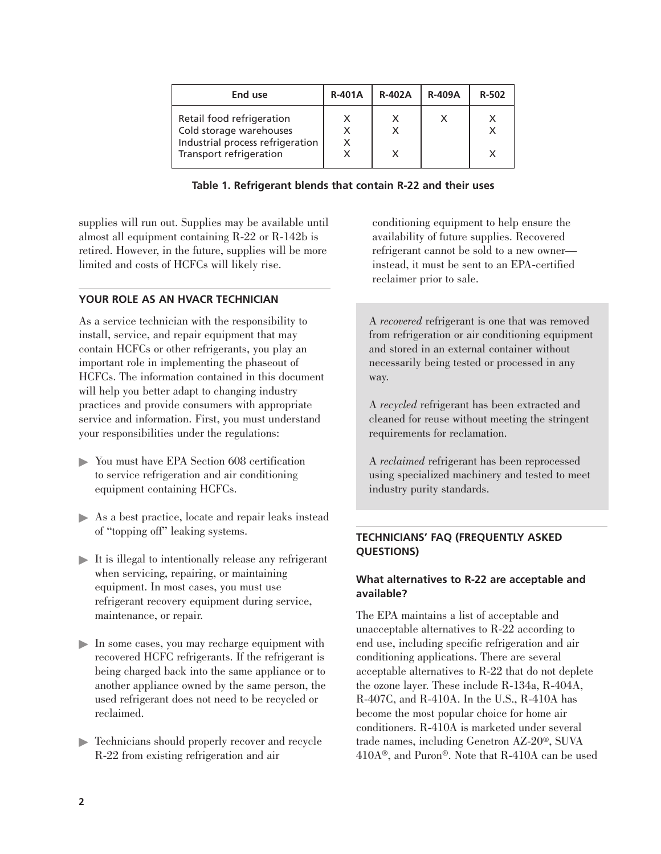| End use                                                                                                             | <b>R-401A</b> | <b>R-402A</b> | <b>R-409A</b> | R-502 |
|---------------------------------------------------------------------------------------------------------------------|---------------|---------------|---------------|-------|
| Retail food refrigeration<br>Cold storage warehouses<br>Industrial process refrigeration<br>Transport refrigeration |               |               |               |       |

**Table 1. Refrigerant blends that contain R-22 and their uses**

supplies will run out. Supplies may be available until almost all equipment containing R-22 or R-142b is retired. However, in the future, supplies will be more limited and costs of HCFCs will likely rise.

# **YOUR ROLE AS AN HVACR TECHNICIAN**

As a service technician with the responsibility to install, service, and repair equipment that may contain HCFCs or other refrigerants, you play an important role in implementing the phaseout of HCFCs. The information contained in this document will help you better adapt to changing industry practices and provide consumers with appropriate service and information. First, you must understand your responsibilities under the regulations:

- þ You must have EPA Section 608 certification to service refrigeration and air conditioning equipment containing HCFCs.
- þ As a best practice, locate and repair leaks instead of "topping off" leaking systems.
- $\blacktriangleright$  It is illegal to intentionally release any refrigerant when servicing, repairing, or maintaining equipment. In most cases, you must use refrigerant recovery equipment during service, maintenance, or repair.
- þ In some cases, you may recharge equipment with recovered HCFC refrigerants. If the refrigerant is being charged back into the same appliance or to another appliance owned by the same person, the used refrigerant does not need to be recycled or reclaimed.
- **Fechnicians should properly recover and recycle** R-22 from existing refrigeration and air

conditioning equipment to help ensure the availability of future supplies. Recovered refrigerant cannot be sold to a new owner instead, it must be sent to an EPA-certified reclaimer prior to sale.

A *recovered* refrigerant is one that was removed from refrigeration or air conditioning equipment and stored in an external container without necessarily being tested or processed in any way.

A *recycled* refrigerant has been extracted and cleaned for reuse without meeting the stringent requirements for reclamation.

A *reclaimed* refrigerant has been reprocessed using specialized machinery and tested to meet industry purity standards.

# **TECHNICIANS' FAQ (FREQUENTLY ASKED QUESTIONS)**

# **What alternatives to R-22 are acceptable and available?**

The EPA maintains a list of acceptable and unacceptable alternatives to R-22 according to end use, including specific refrigeration and air conditioning applications. There are several acceptable alternatives to R-22 that do not deplete the ozone layer. These include R-134a, R-404A, R-407C, and R-410A. In the U.S., R-410A has become the most popular choice for home air conditioners. R-410A is marketed under several trade names, including Genetron AZ-20®, SUVA 410A®, and Puron®. Note that R-410A can be used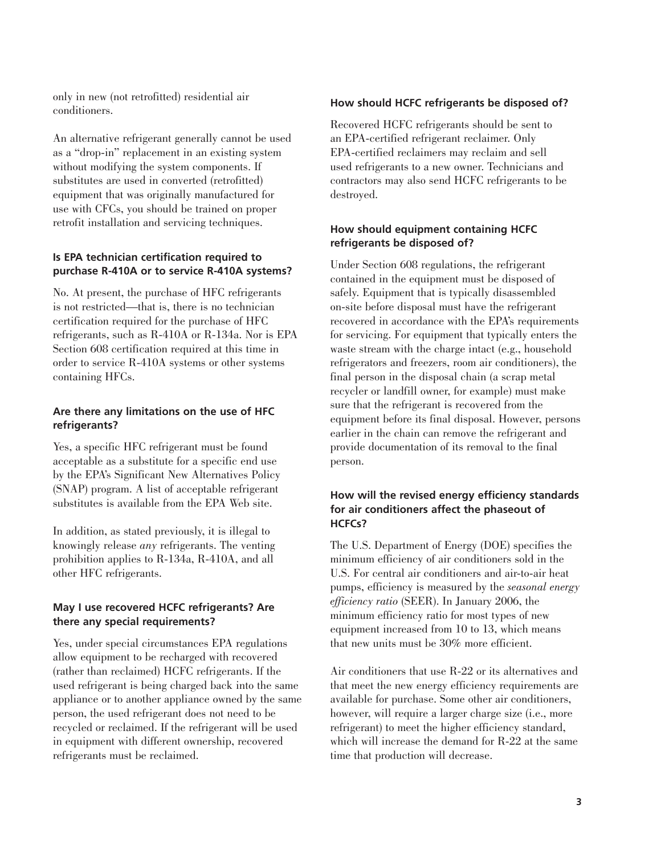only in new (not retrofitted) residential air conditioners.

An alternative refrigerant generally cannot be used as a "drop-in" replacement in an existing system without modifying the system components. If substitutes are used in converted (retrofitted) equipment that was originally manufactured for use with CFCs, you should be trained on proper retrofit installation and servicing techniques.

#### **Is EPA technician certification required to purchase R-410A or to service R-410A systems?**

No. At present, the purchase of HFC refrigerants is not restricted—that is, there is no technician certification required for the purchase of HFC refrigerants, such as R-410A or R-134a. Nor is EPA Section 608 certification required at this time in order to service R-410A systems or other systems containing HFCs.

# **Are there any limitations on the use of HFC refrigerants?**

Yes, a specific HFC refrigerant must be found acceptable as a substitute for a specific end use by the EPA's Significant New Alternatives Policy (SNAP) program. A list of acceptable refrigerant substitutes is available from the EPA Web site.

In addition, as stated previously, it is illegal to knowingly release *any* refrigerants. The venting prohibition applies to R-134a, R-410A, and all other HFC refrigerants.

### **May I use recovered HCFC refrigerants? Are there any special requirements?**

Yes, under special circumstances EPA regulations allow equipment to be recharged with recovered (rather than reclaimed) HCFC refrigerants. If the used refrigerant is being charged back into the same appliance or to another appliance owned by the same person, the used refrigerant does not need to be recycled or reclaimed. If the refrigerant will be used in equipment with different ownership, recovered refrigerants must be reclaimed.

#### **How should HCFC refrigerants be disposed of?**

Recovered HCFC refrigerants should be sent to an EPA-certified refrigerant reclaimer. Only EPA-certified reclaimers may reclaim and sell used refrigerants to a new owner. Technicians and contractors may also send HCFC refrigerants to be destroyed.

#### **How should equipment containing HCFC refrigerants be disposed of?**

Under Section 608 regulations, the refrigerant contained in the equipment must be disposed of safely. Equipment that is typically disassembled on-site before disposal must have the refrigerant recovered in accordance with the EPA's requirements for servicing. For equipment that typically enters the waste stream with the charge intact (e.g., household refrigerators and freezers, room air conditioners), the final person in the disposal chain (a scrap metal recycler or landfill owner, for example) must make sure that the refrigerant is recovered from the equipment before its final disposal. However, persons earlier in the chain can remove the refrigerant and provide documentation of its removal to the final person.

# **How will the revised energy efficiency standards for air conditioners affect the phaseout of HCFCs?**

The U.S. Department of Energy (DOE) specifies the minimum efficiency of air conditioners sold in the U.S. For central air conditioners and air-to-air heat pumps, efficiency is measured by the *seasonal energy efficiency ratio* (SEER). In January 2006, the minimum efficiency ratio for most types of new equipment increased from 10 to 13, which means that new units must be 30% more efficient.

Air conditioners that use R-22 or its alternatives and that meet the new energy efficiency requirements are available for purchase. Some other air conditioners, however, will require a larger charge size (i.e., more refrigerant) to meet the higher efficiency standard, which will increase the demand for R-22 at the same time that production will decrease.